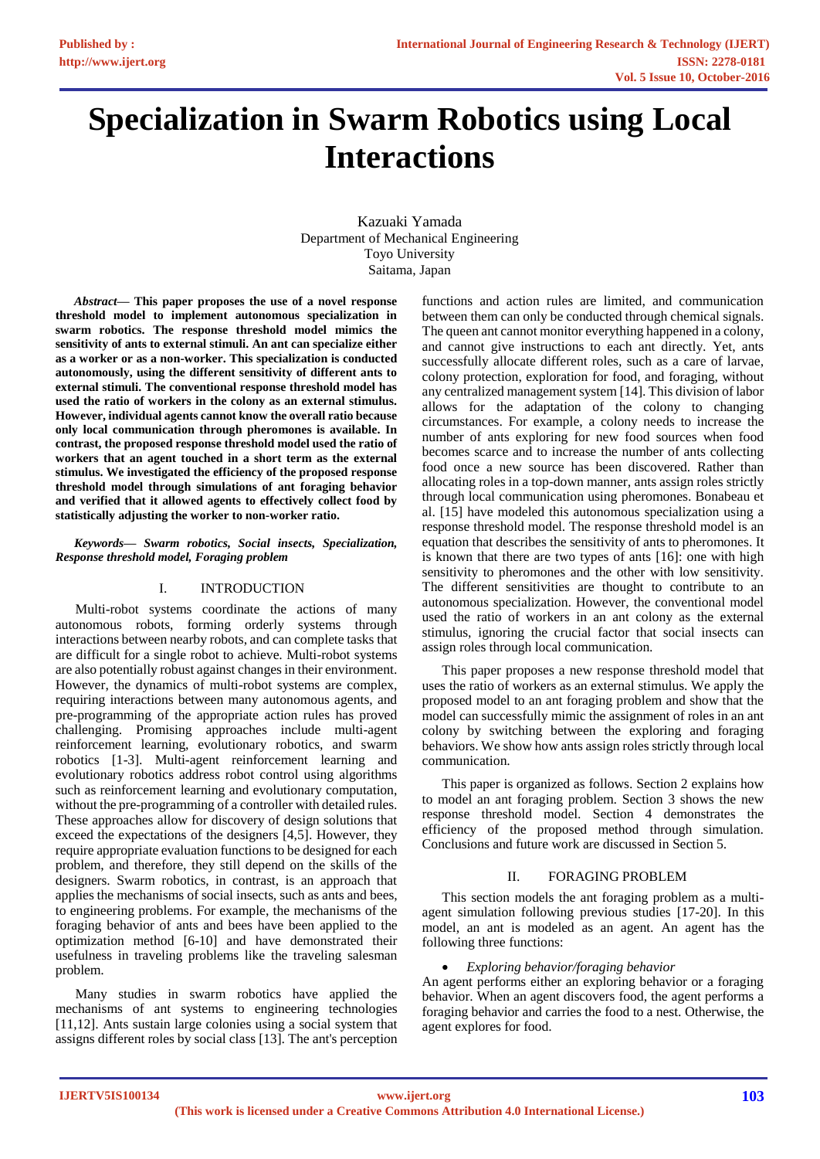# **Specialization in Swarm Robotics using Local Interactions**

Kazuaki Yamada Department of Mechanical Engineering Toyo University Saitama, Japan

*Abstract***— This paper proposes the use of a novel response threshold model to implement autonomous specialization in swarm robotics. The response threshold model mimics the sensitivity of ants to external stimuli. An ant can specialize either as a worker or as a non-worker. This specialization is conducted autonomously, using the different sensitivity of different ants to external stimuli. The conventional response threshold model has used the ratio of workers in the colony as an external stimulus. However, individual agents cannot know the overall ratio because only local communication through pheromones is available. In contrast, the proposed response threshold model used the ratio of workers that an agent touched in a short term as the external stimulus. We investigated the efficiency of the proposed response threshold model through simulations of ant foraging behavior and verified that it allowed agents to effectively collect food by statistically adjusting the worker to non-worker ratio.**

*Keywords— Swarm robotics, Social insects, Specialization, Response threshold model, Foraging problem*

## I. INTRODUCTION

Multi-robot systems coordinate the actions of many autonomous robots, forming orderly systems through interactions between nearby robots, and can complete tasks that are difficult for a single robot to achieve. Multi-robot systems are also potentially robust against changes in their environment. However, the dynamics of multi-robot systems are complex, requiring interactions between many autonomous agents, and pre-programming of the appropriate action rules has proved challenging. Promising approaches include multi-agent reinforcement learning, evolutionary robotics, and swarm robotics [1-3]. Multi-agent reinforcement learning and evolutionary robotics address robot control using algorithms such as reinforcement learning and evolutionary computation, without the pre-programming of a controller with detailed rules. These approaches allow for discovery of design solutions that exceed the expectations of the designers [4,5]. However, they require appropriate evaluation functions to be designed for each problem, and therefore, they still depend on the skills of the designers. Swarm robotics, in contrast, is an approach that applies the mechanisms of social insects, such as ants and bees, to engineering problems. For example, the mechanisms of the foraging behavior of ants and bees have been applied to the optimization method [6-10] and have demonstrated their usefulness in traveling problems like the traveling salesman problem.

Many studies in swarm robotics have applied the mechanisms of ant systems to engineering technologies [11,12]. Ants sustain large colonies using a social system that assigns different roles by social class [13]. The ant's perception

functions and action rules are limited, and communication between them can only be conducted through chemical signals. The queen ant cannot monitor everything happened in a colony, and cannot give instructions to each ant directly. Yet, ants successfully allocate different roles, such as a care of larvae, colony protection, exploration for food, and foraging, without any centralized management system [14]. This division of labor allows for the adaptation of the colony to changing circumstances. For example, a colony needs to increase the number of ants exploring for new food sources when food becomes scarce and to increase the number of ants collecting food once a new source has been discovered. Rather than allocating roles in a top-down manner, ants assign roles strictly through local communication using pheromones. Bonabeau et al. [15] have modeled this autonomous specialization using a response threshold model. The response threshold model is an equation that describes the sensitivity of ants to pheromones. It is known that there are two types of ants [16]: one with high sensitivity to pheromones and the other with low sensitivity. The different sensitivities are thought to contribute to an autonomous specialization. However, the conventional model used the ratio of workers in an ant colony as the external stimulus, ignoring the crucial factor that social insects can assign roles through local communication.

This paper proposes a new response threshold model that uses the ratio of workers as an external stimulus. We apply the proposed model to an ant foraging problem and show that the model can successfully mimic the assignment of roles in an ant colony by switching between the exploring and foraging behaviors. We show how ants assign roles strictly through local communication.

This paper is organized as follows. Section 2 explains how to model an ant foraging problem. Section 3 shows the new response threshold model. Section 4 demonstrates the efficiency of the proposed method through simulation. Conclusions and future work are discussed in Section 5.

## II. FORAGING PROBLEM

This section models the ant foraging problem as a multiagent simulation following previous studies [17-20]. In this model, an ant is modeled as an agent. An agent has the following three functions:

## *Exploring behavior/foraging behavior*

An agent performs either an exploring behavior or a foraging behavior. When an agent discovers food, the agent performs a foraging behavior and carries the food to a nest. Otherwise, the agent explores for food.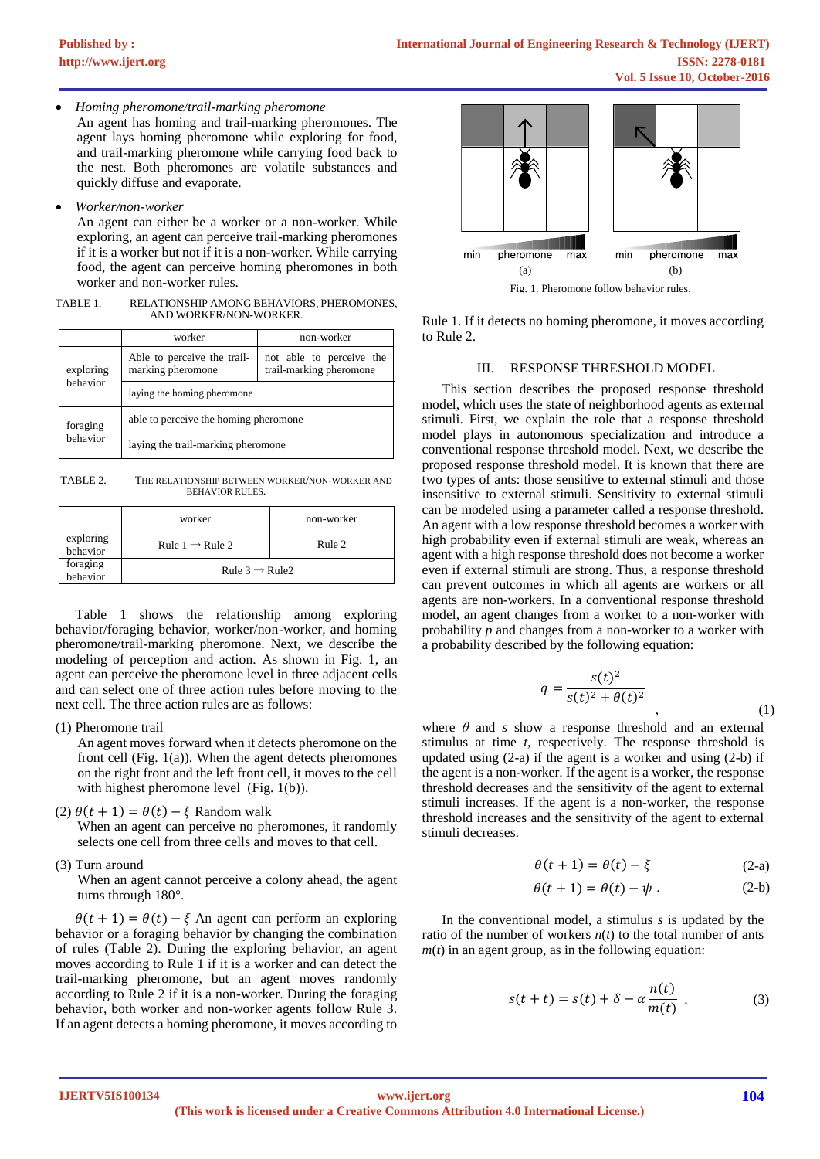*Homing pheromone/trail-marking pheromone*

An agent has homing and trail-marking pheromones. The agent lays homing pheromone while exploring for food, and trail-marking pheromone while carrying food back to the nest. Both pheromones are volatile substances and quickly diffuse and evaporate.

*Worker/non-worker*

An agent can either be a worker or a non-worker. While exploring, an agent can perceive trail-marking pheromones if it is a worker but not if it is a non-worker. While carrying food, the agent can perceive homing pheromones in both worker and non-worker rules.

TABLE 1. RELATIONSHIP AMONG BEHAVIORS, PHEROMONES, AND WORKER/NON-WORKER.

|                       | worker                                           | non-worker                                          |
|-----------------------|--------------------------------------------------|-----------------------------------------------------|
| exploring<br>behavior | Able to perceive the trail-<br>marking pheromone | not able to perceive the<br>trail-marking pheromone |
|                       | laying the homing pheromone                      |                                                     |
| foraging<br>behavior  | able to perceive the homing pheromone            |                                                     |
|                       | laying the trail-marking pheromone               |                                                     |

TABLE 2. THE RELATIONSHIP BETWEEN WORKER/NON-WORKER AND BEHAVIOR RULES.

|                       | worker                      | non-worker |
|-----------------------|-----------------------------|------------|
| exploring<br>behavior | Rule $1 \rightarrow$ Rule 2 | Rule 2     |
| foraging<br>behavior  | Rule $3 \rightarrow$ Rule 2 |            |

Table 1 shows the relationship among exploring behavior/foraging behavior, worker/non-worker, and homing pheromone/trail-marking pheromone. Next, we describe the modeling of perception and action. As shown in Fig. 1, an agent can perceive the pheromone level in three adjacent cells and can select one of three action rules before moving to the next cell. The three action rules are as follows:

(1) Pheromone trail

An agent moves forward when it detects pheromone on the front cell (Fig.  $1(a)$ ). When the agent detects pheromones on the right front and the left front cell, it moves to the cell with highest pheromone level (Fig. 1(b)).

(2)  $\theta(t + 1) = \theta(t) - \xi$  Random walk

When an agent can perceive no pheromones, it randomly selects one cell from three cells and moves to that cell.

(3) Turn around

When an agent cannot perceive a colony ahead, the agent turns through 180°.

 $\theta(t + 1) = \theta(t) - \xi$  An agent can perform an exploring behavior or a foraging behavior by changing the combination of rules (Table 2). During the exploring behavior, an agent moves according to Rule 1 if it is a worker and can detect the trail-marking pheromone, but an agent moves randomly according to Rule 2 if it is a non-worker. During the foraging behavior, both worker and non-worker agents follow Rule 3. If an agent detects a homing pheromone, it moves according to



Fig. 1. Pheromone follow behavior rules.

Rule 1. If it detects no homing pheromone, it moves according to Rule 2.

## III. RESPONSE THRESHOLD MODEL

This section describes the proposed response threshold model, which uses the state of neighborhood agents as external stimuli. First, we explain the role that a response threshold model plays in autonomous specialization and introduce a conventional response threshold model. Next, we describe the proposed response threshold model. It is known that there are two types of ants: those sensitive to external stimuli and those insensitive to external stimuli. Sensitivity to external stimuli can be modeled using a parameter called a response threshold. An agent with a low response threshold becomes a worker with high probability even if external stimuli are weak, whereas an agent with a high response threshold does not become a worker even if external stimuli are strong. Thus, a response threshold can prevent outcomes in which all agents are workers or all agents are non-workers. In a conventional response threshold model, an agent changes from a worker to a non-worker with probability *p* and changes from a non-worker to a worker with a probability described by the following equation:

$$
q = \frac{s(t)^2}{s(t)^2 + \theta(t)^2}
$$
\n(1)

where *θ* and *s* show a response threshold and an external stimulus at time *t*, respectively. The response threshold is updated using (2-a) if the agent is a worker and using (2-b) if the agent is a non-worker. If the agent is a worker, the response threshold decreases and the sensitivity of the agent to external stimuli increases. If the agent is a non-worker, the response threshold increases and the sensitivity of the agent to external stimuli decreases.

$$
\theta(t+1) = \theta(t) - \xi \tag{2-a}
$$

$$
\theta(t+1) = \theta(t) - \psi.
$$
 (2-b)

In the conventional model, a stimulus *s* is updated by the ratio of the number of workers  $n(t)$  to the total number of ants  $m(t)$  in an agent group, as in the following equation:

$$
s(t+t) = s(t) + \delta - \alpha \frac{n(t)}{m(t)} .
$$
 (3)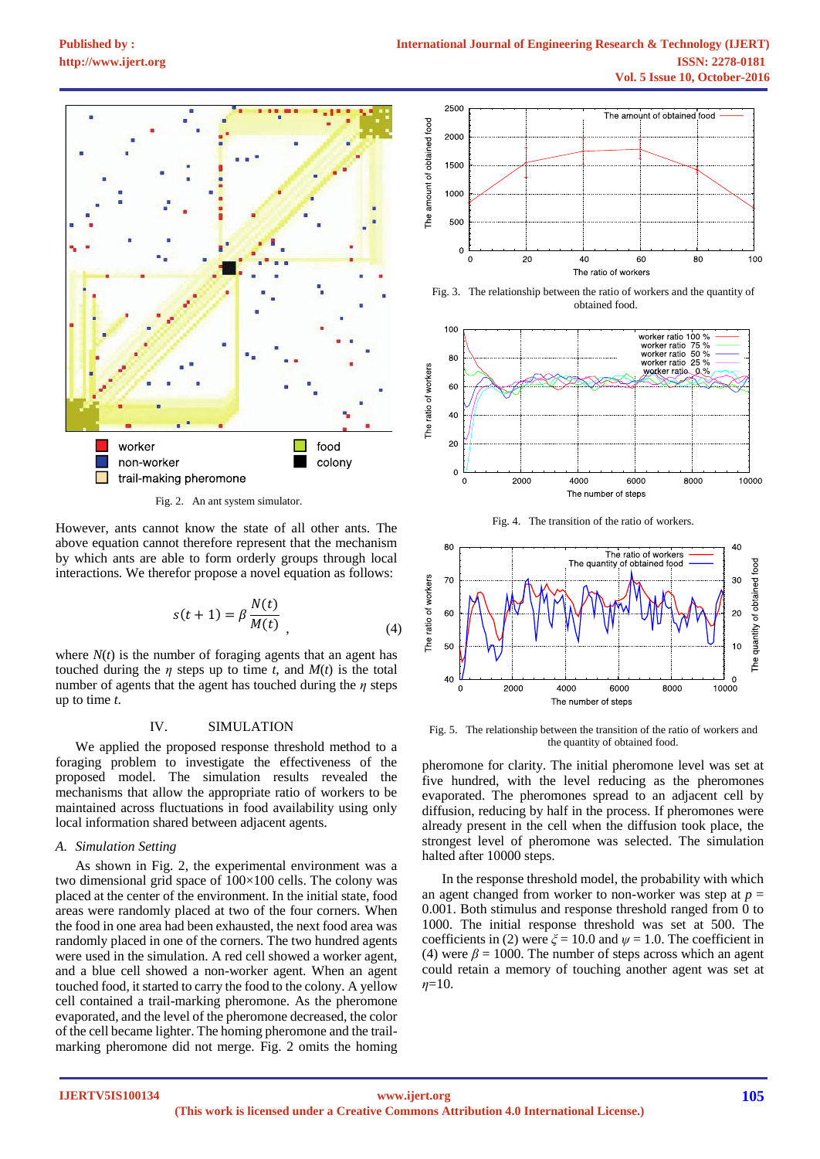

Fig. 2. An ant system simulator.

However, ants cannot know the state of all other ants. The above equation cannot therefore represent that the mechanism by which ants are able to form orderly groups through local interactions. We therefor propose a novel equation as follows:

$$
s(t+1) = \beta \frac{N(t)}{M(t)}
$$
\n(4)

where  $N(t)$  is the number of foraging agents that an agent has touched during the  $\eta$  steps up to time  $t$ , and  $M(t)$  is the total number of agents that the agent has touched during the *η* steps up to time *t*.

#### IV. SIMULATION

We applied the proposed response threshold method to a foraging problem to investigate the effectiveness of the proposed model. The simulation results revealed the mechanisms that allow the appropriate ratio of workers to be maintained across fluctuations in food availability using only local information shared between adjacent agents.

#### *A. Simulation Setting*

As shown in Fig. 2, the experimental environment was a two dimensional grid space of 100×100 cells. The colony was placed at the center of the environment. In the initial state, food areas were randomly placed at two of the four corners. When the food in one area had been exhausted, the next food area was randomly placed in one of the corners. The two hundred agents were used in the simulation. A red cell showed a worker agent, and a blue cell showed a non-worker agent. When an agent touched food, it started to carry the food to the colony. A yellow cell contained a trail-marking pheromone. As the pheromone evaporated, and the level of the pheromone decreased, the color of the cell became lighter. The homing pheromone and the trailmarking pheromone did not merge. Fig. 2 omits the homing



Fig. 3. The relationship between the ratio of workers and the quantity of obtained food.



Fig. 4. The transition of the ratio of workers.



Fig. 5. The relationship between the transition of the ratio of workers and the quantity of obtained food.

pheromone for clarity. The initial pheromone level was set at five hundred, with the level reducing as the pheromones evaporated. The pheromones spread to an adjacent cell by diffusion, reducing by half in the process. If pheromones were already present in the cell when the diffusion took place, the strongest level of pheromone was selected. The simulation halted after 10000 steps.

In the response threshold model, the probability with which an agent changed from worker to non-worker was step at  $p =$ 0.001. Both stimulus and response threshold ranged from 0 to 1000. The initial response threshold was set at 500. The coefficients in (2) were  $\zeta = 10.0$  and  $\psi = 1.0$ . The coefficient in (4) were  $\beta$  = 1000. The number of steps across which an agent could retain a memory of touching another agent was set at *η*=10.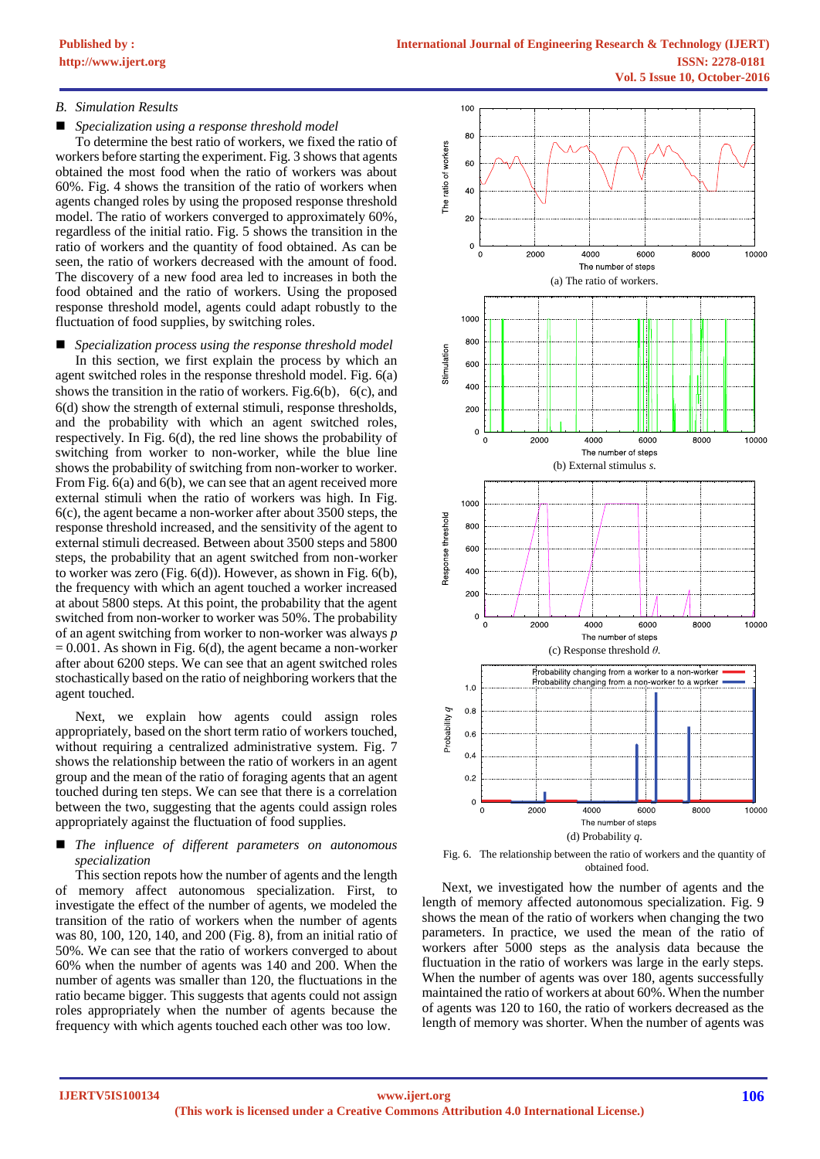## *B. Simulation Results*

*Specialization using a response threshold model*

To determine the best ratio of workers, we fixed the ratio of workers before starting the experiment. Fig. 3 shows that agents obtained the most food when the ratio of workers was about 60%. Fig. 4 shows the transition of the ratio of workers when agents changed roles by using the proposed response threshold model. The ratio of workers converged to approximately 60%, regardless of the initial ratio. Fig. 5 shows the transition in the ratio of workers and the quantity of food obtained. As can be seen, the ratio of workers decreased with the amount of food. The discovery of a new food area led to increases in both the food obtained and the ratio of workers. Using the proposed response threshold model, agents could adapt robustly to the fluctuation of food supplies, by switching roles.

 *Specialization process using the response threshold model* In this section, we first explain the process by which an agent switched roles in the response threshold model. Fig. 6(a) shows the transition in the ratio of workers. Fig.6(b),  $6(c)$ , and 6(d) show the strength of external stimuli, response thresholds, and the probability with which an agent switched roles, respectively. In Fig. 6(d), the red line shows the probability of switching from worker to non-worker, while the blue line shows the probability of switching from non-worker to worker. From Fig. 6(a) and 6(b), we can see that an agent received more external stimuli when the ratio of workers was high. In Fig. 6(c), the agent became a non-worker after about 3500 steps, the response threshold increased, and the sensitivity of the agent to external stimuli decreased. Between about 3500 steps and 5800 steps, the probability that an agent switched from non-worker to worker was zero (Fig. 6(d)). However, as shown in Fig. 6(b), the frequency with which an agent touched a worker increased at about 5800 steps. At this point, the probability that the agent switched from non-worker to worker was 50%. The probability of an agent switching from worker to non-worker was always *p*  $= 0.001$ . As shown in Fig. 6(d), the agent became a non-worker after about 6200 steps. We can see that an agent switched roles stochastically based on the ratio of neighboring workers that the agent touched.

Next, we explain how agents could assign roles appropriately, based on the short term ratio of workers touched, without requiring a centralized administrative system. Fig. 7 shows the relationship between the ratio of workers in an agent group and the mean of the ratio of foraging agents that an agent touched during ten steps. We can see that there is a correlation between the two, suggesting that the agents could assign roles appropriately against the fluctuation of food supplies.

## *The influence of different parameters on autonomous specialization*

This section repots how the number of agents and the length of memory affect autonomous specialization. First, to investigate the effect of the number of agents, we modeled the transition of the ratio of workers when the number of agents was 80, 100, 120, 140, and 200 (Fig. 8), from an initial ratio of 50%. We can see that the ratio of workers converged to about 60% when the number of agents was 140 and 200. When the number of agents was smaller than 120, the fluctuations in the ratio became bigger. This suggests that agents could not assign roles appropriately when the number of agents because the frequency with which agents touched each other was too low.



Fig. 6. The relationship between the ratio of workers and the quantity of obtained food.

Next, we investigated how the number of agents and the length of memory affected autonomous specialization. Fig. 9 shows the mean of the ratio of workers when changing the two parameters. In practice, we used the mean of the ratio of workers after 5000 steps as the analysis data because the fluctuation in the ratio of workers was large in the early steps. When the number of agents was over 180, agents successfully maintained the ratio of workers at about 60%. When the number of agents was 120 to 160, the ratio of workers decreased as the length of memory was shorter. When the number of agents was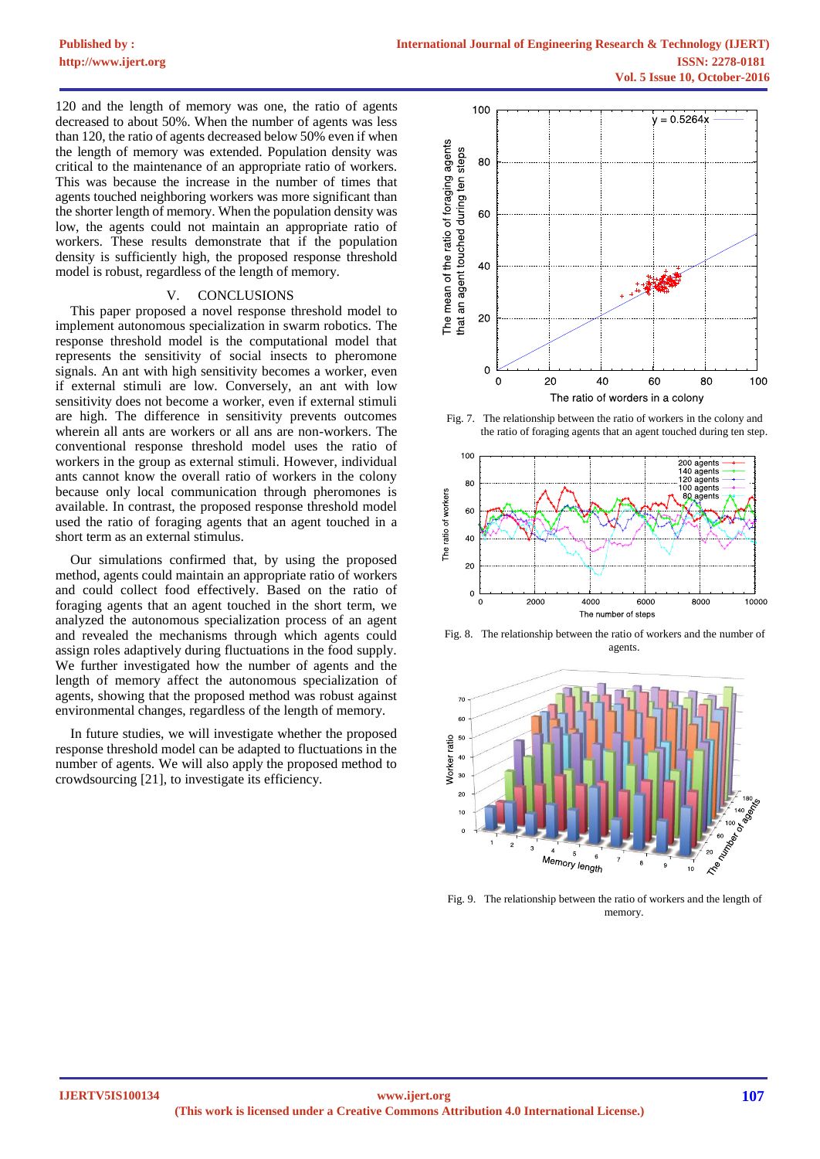120 and the length of memory was one, the ratio of agents decreased to about 50%. When the number of agents was less than 120, the ratio of agents decreased below 50% even if when the length of memory was extended. Population density was critical to the maintenance of an appropriate ratio of workers. This was because the increase in the number of times that agents touched neighboring workers was more significant than the shorter length of memory. When the population density was low, the agents could not maintain an appropriate ratio of workers. These results demonstrate that if the population density is sufficiently high, the proposed response threshold model is robust, regardless of the length of memory.

### V. CONCLUSIONS

This paper proposed a novel response threshold model to implement autonomous specialization in swarm robotics. The response threshold model is the computational model that represents the sensitivity of social insects to pheromone signals. An ant with high sensitivity becomes a worker, even if external stimuli are low. Conversely, an ant with low sensitivity does not become a worker, even if external stimuli are high. The difference in sensitivity prevents outcomes wherein all ants are workers or all ans are non-workers. The conventional response threshold model uses the ratio of workers in the group as external stimuli. However, individual ants cannot know the overall ratio of workers in the colony because only local communication through pheromones is available. In contrast, the proposed response threshold model used the ratio of foraging agents that an agent touched in a short term as an external stimulus.

Our simulations confirmed that, by using the proposed method, agents could maintain an appropriate ratio of workers and could collect food effectively. Based on the ratio of foraging agents that an agent touched in the short term, we analyzed the autonomous specialization process of an agent and revealed the mechanisms through which agents could assign roles adaptively during fluctuations in the food supply. We further investigated how the number of agents and the length of memory affect the autonomous specialization of agents, showing that the proposed method was robust against environmental changes, regardless of the length of memory.

In future studies, we will investigate whether the proposed response threshold model can be adapted to fluctuations in the number of agents. We will also apply the proposed method to crowdsourcing [21], to investigate its efficiency.



Fig. 7. The relationship between the ratio of workers in the colony and the ratio of foraging agents that an agent touched during ten step.



Fig. 8. The relationship between the ratio of workers and the number of agents.



Fig. 9. The relationship between the ratio of workers and the length of memory.